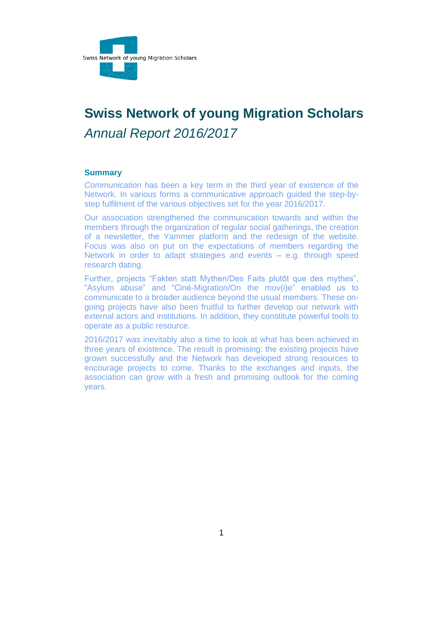

# **Swiss Network of young Migration Scholars** *Annual Report 2016/2017*

#### <span id="page-0-0"></span>**Summary**

*Communication* has been a key term in the third year of existence of the Network. In various forms a communicative approach guided the step-bystep fulfilment of the various objectives set for the year 2016/2017.

Our association strengthened the communication towards and within the members through the organization of regular social gatherings, the creation of a newsletter, the Yammer platform and the redesign of the website. Focus was also on put on the expectations of members regarding the Network in order to adapt strategies and events – e.g. through speed research dating.

Further, projects "Fakten statt Mythen/Des Faits plutôt que des mythes", "Asylum abuse" and "Ciné-Migration/On the mov(i)e" enabled us to communicate to a broader audience beyond the usual members. These ongoing projects have also been fruitful to further develop our network with external actors and institutions. In addition, they constitute powerful tools to operate as a public resource.

2016/2017 was inevitably also a time to look at what has been achieved in three years of existence. The result is promising: the existing projects have grown successfully and the Network has developed strong resources to encourage projects to come. Thanks to the exchanges and inputs, the association can grow with a fresh and promising outlook for the coming years.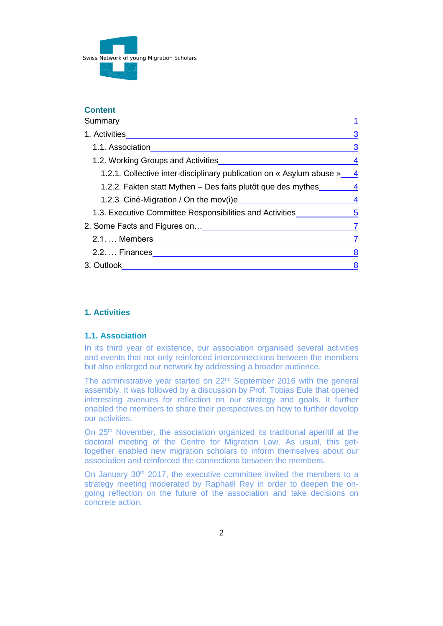

## **Content**

| Summary____________________                                                      |                         |
|----------------------------------------------------------------------------------|-------------------------|
|                                                                                  | 3                       |
|                                                                                  | 3                       |
| 1.2. Working Groups and Activities                                               | 4                       |
| 1.2.1. Collective inter-disciplinary publication on « Asylum abuse »             | $\overline{4}$          |
| 1.2.2. Fakten statt Mythen – Des faits plutôt que des mythes _______ 4           |                         |
|                                                                                  | $\overline{\mathbf{4}}$ |
| 1.3. Executive Committee Responsibilities and Activities _______________________ |                         |
|                                                                                  | $\overline{7}$          |
|                                                                                  | 7                       |
| 2.2.  Finances _______________________________                                   | 8                       |
| 3. Outlook                                                                       | 8                       |

# <span id="page-1-0"></span>**1. Activities**

#### <span id="page-1-1"></span>**1.1. Association**

In its third year of existence, our association organised several activities and events that not only reinforced interconnections between the members but also enlarged our network by addressing a broader audience.

The administrative year started on 22<sup>nd</sup> September 2016 with the general assembly. It was followed by a discussion by Prof. Tobias Eule that opened interesting avenues for reflection on our strategy and goals. It further enabled the members to share their perspectives on how to further develop our activities.

On 25<sup>th</sup> November, the association organized its traditional aperitif at the doctoral meeting of the Centre for Migration Law. As usual, this gettogether enabled new migration scholars to inform themselves about our association and reinforced the connections between the members.

On January 30<sup>th</sup> 2017, the executive committee invited the members to a strategy meeting moderated by Raphaël Rey in order to deepen the ongoing reflection on the future of the association and take decisions on concrete action.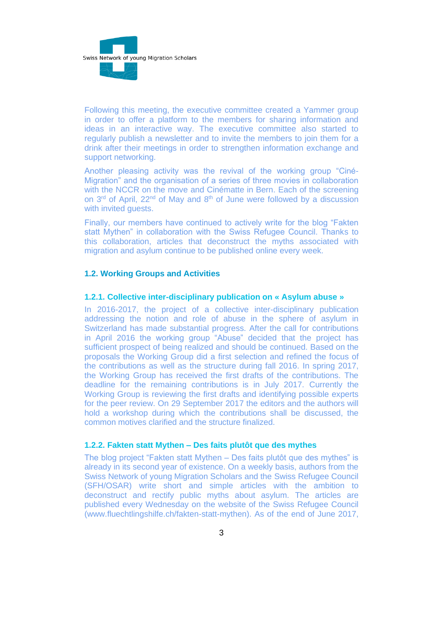

Following this meeting, the executive committee created a Yammer group in order to offer a platform to the members for sharing information and ideas in an interactive way. The executive committee also started to regularly publish a newsletter and to invite the members to join them for a drink after their meetings in order to strengthen information exchange and support networking.

Another pleasing activity was the revival of the working group "Ciné-Migration" and the organisation of a series of three movies in collaboration with the NCCR on the move and Cinématte in Bern. Each of the screening on  $3<sup>rd</sup>$  of April, 22<sup>nd</sup> of May and  $8<sup>th</sup>$  of June were followed by a discussion with invited guests.

Finally, our members have continued to actively write for the blog "Fakten statt Mythen" in collaboration with the Swiss Refugee Council. Thanks to this collaboration, articles that deconstruct the myths associated with migration and asylum continue to be published online every week.

#### <span id="page-2-0"></span>**1.2. Working Groups and Activities**

### <span id="page-2-1"></span>**1.2.1. Collective inter-disciplinary publication on « Asylum abuse »**

In 2016-2017, the project of a collective inter-disciplinary publication addressing the notion and role of abuse in the sphere of asylum in Switzerland has made substantial progress. After the call for contributions in April 2016 the working group "Abuse" decided that the project has sufficient prospect of being realized and should be continued. Based on the proposals the Working Group did a first selection and refined the focus of the contributions as well as the structure during fall 2016. In spring 2017, the Working Group has received the first drafts of the contributions. The deadline for the remaining contributions is in July 2017. Currently the Working Group is reviewing the first drafts and identifying possible experts for the peer review. On 29 September 2017 the editors and the authors will hold a workshop during which the contributions shall be discussed, the common motives clarified and the structure finalized.

## <span id="page-2-2"></span>**1.2.2. Fakten statt Mythen – Des faits plutôt que des mythes**

The blog project "Fakten statt Mythen – Des faits plutôt que des mythes" is already in its second year of existence. On a weekly basis, authors from the Swiss Network of young Migration Scholars and the Swiss Refugee Council (SFH/OSAR) write short and simple articles with the ambition to deconstruct and rectify public myths about asylum. The articles are published every Wednesday on the website of the Swiss Refugee Council (www.fluechtlingshilfe.ch/fakten-statt-mythen). As of the end of June 2017,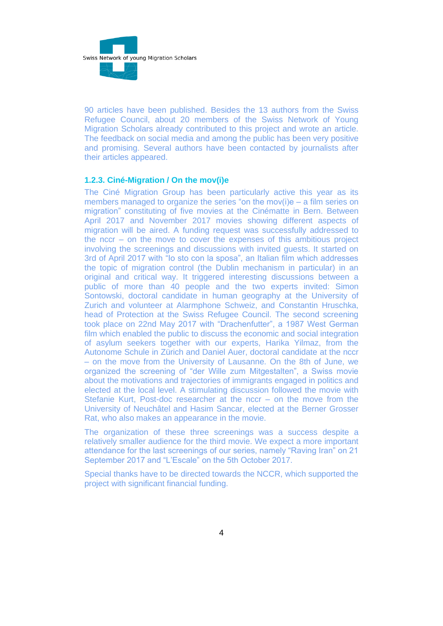

90 articles have been published. Besides the 13 authors from the Swiss Refugee Council, about 20 members of the Swiss Network of Young Migration Scholars already contributed to this project and wrote an article. The feedback on social media and among the public has been very positive and promising. Several authors have been contacted by journalists after their articles appeared.

#### <span id="page-3-0"></span>**1.2.3. Ciné-Migration / On the mov(i)e**

The Ciné Migration Group has been particularly active this year as its members managed to organize the series "on the mov(i)e – a film series on migration" constituting of five movies at the Cinématte in Bern. Between April 2017 and November 2017 movies showing different aspects of migration will be aired. A funding request was successfully addressed to the nccr – on the move to cover the expenses of this ambitious project involving the screenings and discussions with invited guests. It started on 3rd of April 2017 with "Io sto con la sposa", an Italian film which addresses the topic of migration control (the Dublin mechanism in particular) in an original and critical way. It triggered interesting discussions between a public of more than 40 people and the two experts invited: Simon Sontowski, doctoral candidate in human geography at the University of Zurich and volunteer at Alarmphone Schweiz, and Constantin Hruschka, head of Protection at the Swiss Refugee Council. The second screening took place on 22nd May 2017 with "Drachenfutter", a 1987 West German film which enabled the public to discuss the economic and social integration of asylum seekers together with our experts, Harika Yilmaz, from the Autonome Schule in Zürich and Daniel Auer, doctoral candidate at the nccr – on the move from the University of Lausanne. On the 8th of June, we organized the screening of "der Wille zum Mitgestalten", a Swiss movie about the motivations and trajectories of immigrants engaged in politics and elected at the local level. A stimulating discussion followed the movie with Stefanie Kurt, Post-doc researcher at the nccr – on the move from the University of Neuchâtel and Hasim Sancar, elected at the Berner Grosser Rat, who also makes an appearance in the movie.

The organization of these three screenings was a success despite a relatively smaller audience for the third movie. We expect a more important attendance for the last screenings of our series, namely "Raving Iran" on 21 September 2017 and "L'Escale" on the 5th October 2017.

Special thanks have to be directed towards the NCCR, which supported the project with significant financial funding.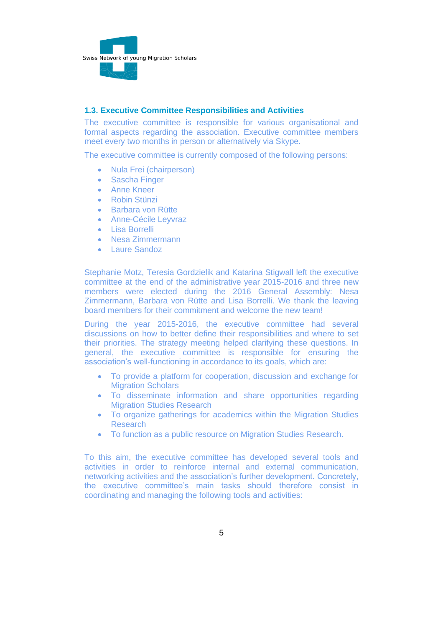

### <span id="page-4-0"></span>**1.3. Executive Committee Responsibilities and Activities**

The executive committee is responsible for various organisational and formal aspects regarding the association. Executive committee members meet every two months in person or alternatively via Skype.

The executive committee is currently composed of the following persons:

- Nula Frei (chairperson)
- Sascha Finger
- Anne Kneer
- Robin Stünzi
- Barbara von Rütte
- Anne-Cécile Leyvraz
- Lisa Borrelli
- Nesa Zimmermann
- Laure Sandoz

Stephanie Motz, Teresia Gordzielik and Katarina Stigwall left the executive committee at the end of the administrative year 2015-2016 and three new members were elected during the 2016 General Assembly: Nesa Zimmermann, Barbara von Rütte and Lisa Borrelli. We thank the leaving board members for their commitment and welcome the new team!

During the year 2015-2016, the executive committee had several discussions on how to better define their responsibilities and where to set their priorities. The strategy meeting helped clarifying these questions. In general, the executive committee is responsible for ensuring the association's well-functioning in accordance to its goals, which are:

- To provide a platform for cooperation, discussion and exchange for Migration Scholars
- To disseminate information and share opportunities regarding Migration Studies Research
- To organize gatherings for academics within the Migration Studies Research
- To function as a public resource on Migration Studies Research.

To this aim, the executive committee has developed several tools and activities in order to reinforce internal and external communication, networking activities and the association's further development. Concretely, the executive committee's main tasks should therefore consist in coordinating and managing the following tools and activities: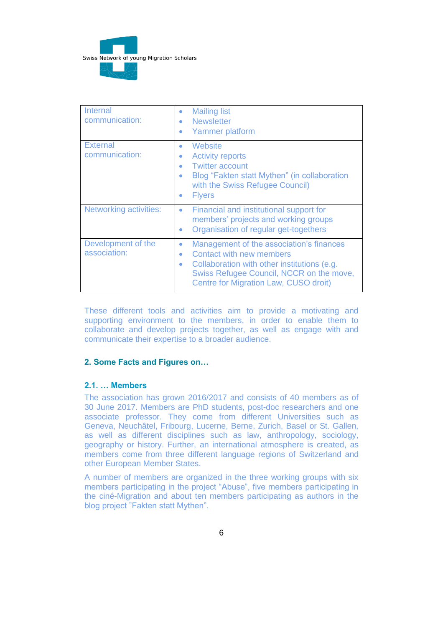

| Internal<br>communication:         | <b>Mailing list</b><br>$\bullet$<br><b>Newsletter</b><br>٠<br>Yammer platform<br>٠                                                                                                                                             |
|------------------------------------|--------------------------------------------------------------------------------------------------------------------------------------------------------------------------------------------------------------------------------|
| <b>External</b><br>communication:  | Website<br>۰<br><b>Activity reports</b><br>$\bullet$<br><b>Twitter account</b><br>۰<br>Blog "Fakten statt Mythen" (in collaboration<br>۰<br>with the Swiss Refugee Council)<br><b>Flyers</b><br>٠                              |
| <b>Networking activities:</b>      | Financial and institutional support for<br>۰<br>members' projects and working groups<br>Organisation of regular get-togethers<br>٠                                                                                             |
| Development of the<br>association: | Management of the association's finances<br>۰<br><b>Contact with new members</b><br>۰<br>Collaboration with other institutions (e.g.<br>۰<br>Swiss Refugee Council, NCCR on the move,<br>Centre for Migration Law, CUSO droit) |

These different tools and activities aim to provide a motivating and supporting environment to the members, in order to enable them to collaborate and develop projects together, as well as engage with and communicate their expertise to a broader audience.

## <span id="page-5-0"></span>**2. Some Facts and Figures on…**

#### <span id="page-5-1"></span>**2.1. … Members**

The association has grown 2016/2017 and consists of 40 members as of 30 June 2017. Members are PhD students, post-doc researchers and one associate professor. They come from different Universities such as Geneva, Neuchâtel, Fribourg, Lucerne, Berne, Zurich, Basel or St. Gallen, as well as different disciplines such as law, anthropology, sociology, geography or history. Further, an international atmosphere is created, as members come from three different language regions of Switzerland and other European Member States.

A number of members are organized in the three working groups with six members participating in the project "Abuse", five members participating in the ciné-Migration and about ten members participating as authors in the blog project "Fakten statt Mythen".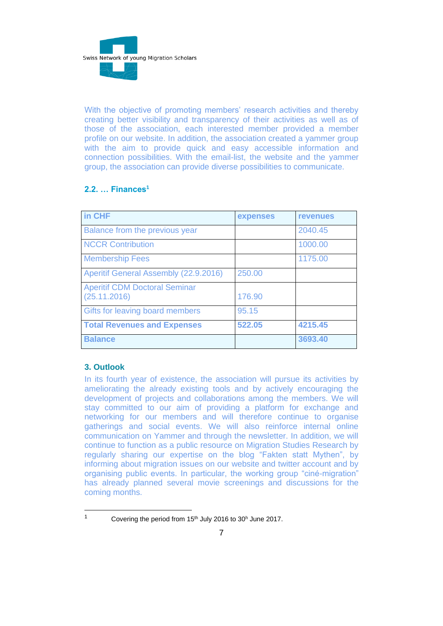

With the objective of promoting members' research activities and thereby creating better visibility and transparency of their activities as well as of those of the association, each interested member provided a member profile on our website. In addition, the association created a yammer group with the aim to provide quick and easy accessible information and connection possibilities. With the email-list, the website and the yammer group, the association can provide diverse possibilities to communicate.

# <span id="page-6-0"></span>**2.2. … Finances<sup>1</sup>**

| in CHF                                               | expenses | <b>revenues</b> |
|------------------------------------------------------|----------|-----------------|
| Balance from the previous year                       |          | 2040.45         |
| <b>NCCR Contribution</b>                             |          | 1000.00         |
| <b>Membership Fees</b>                               |          | 1175.00         |
| Aperitif General Assembly (22.9.2016)                | 250.00   |                 |
| <b>Aperitif CDM Doctoral Seminar</b><br>(25.11.2016) | 176.90   |                 |
| Gifts for leaving board members                      | 95.15    |                 |
| <b>Total Revenues and Expenses</b>                   | 522.05   | 4215.45         |
| <b>Balance</b>                                       |          | 3693.40         |

## <span id="page-6-1"></span>**3. Outlook**

In its fourth year of existence, the association will pursue its activities by ameliorating the already existing tools and by actively encouraging the development of projects and collaborations among the members. We will stay committed to our aim of providing a platform for exchange and networking for our members and will therefore continue to organise gatherings and social events. We will also reinforce internal online communication on Yammer and through the newsletter. In addition, we will continue to function as a public resource on Migration Studies Research by regularly sharing our expertise on the blog "Fakten statt Mythen", by informing about migration issues on our website and twitter account and by organising public events. In particular, the working group "ciné-migration" has already planned several movie screenings and discussions for the coming months.

<sup>1</sup> Covering the period from 15<sup>th</sup> July 2016 to  $30<sup>h</sup>$  June 2017.